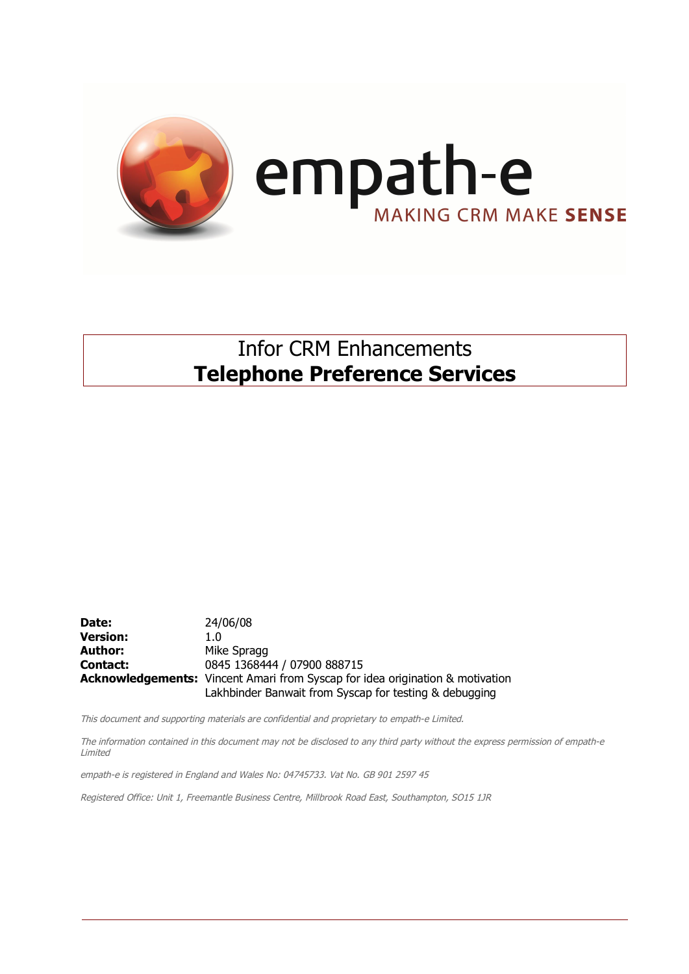

### Infor CRM Enhancements **Telephone Preference Services**

**Date:** 24/06/08 **Version:** 1.0 Author: Mike Spragg **Contact:** 0845 1368444 / 07900 888715 **Acknowledgements:** Vincent Amari from Syscap for idea origination & motivation Lakhbinder Banwait from Syscap for testing & debugging

This document and supporting materials are confidential and proprietary to empath-e Limited.

The information contained in this document may not be disclosed to any third party without the express permission of empath-e Limited

empath-e is registered in England and Wales No: 04745733. Vat No. GB 901 2597 45

Registered Office: Unit 1, Freemantle Business Centre, Millbrook Road East, Southampton, SO15 1JR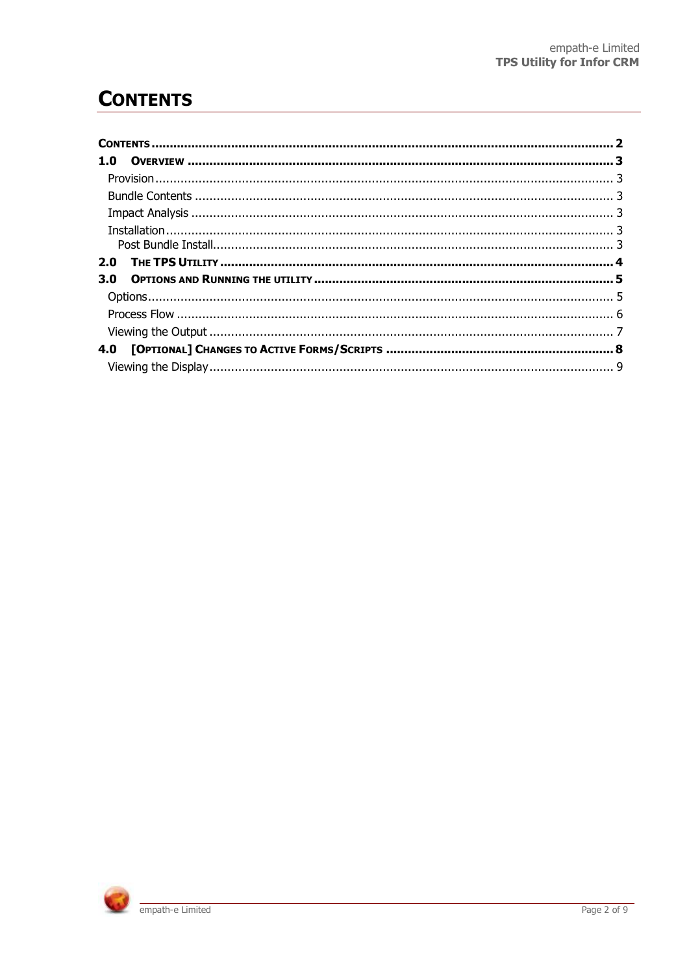## **CONTENTS**

| 1.0 |  |
|-----|--|
|     |  |
|     |  |
|     |  |
|     |  |
|     |  |
| 2.0 |  |
| 3.0 |  |
|     |  |
|     |  |
|     |  |
|     |  |
|     |  |

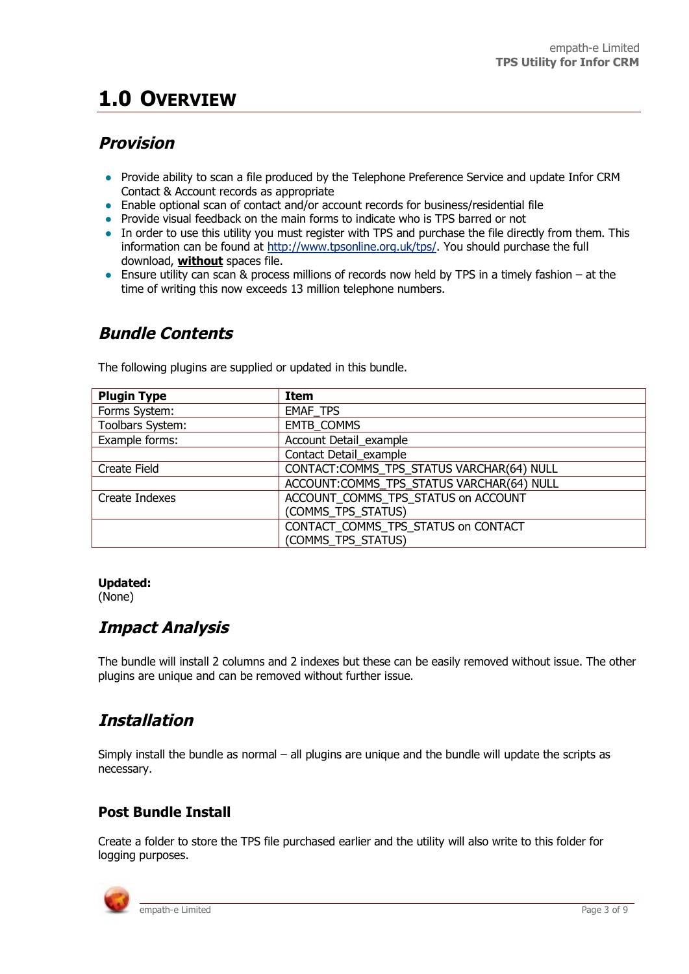# **1.0 OVERVIEW**

### **Provision**

- Provide ability to scan a file produced by the Telephone Preference Service and update Infor CRM Contact & Account records as appropriate
- Enable optional scan of contact and/or account records for business/residential file
- Provide visual feedback on the main forms to indicate who is TPS barred or not
- In order to use this utility you must register with TPS and purchase the file directly from them. This information can be found at http://www.tpsonline.org.uk/tps/. You should purchase the full download, **without** spaces file.
- Ensure utility can scan & process millions of records now held by TPS in a timely fashion at the time of writing this now exceeds 13 million telephone numbers.

#### **Bundle Contents**

The following plugins are supplied or updated in this bundle.

| <b>Plugin Type</b> | Item                                      |
|--------------------|-------------------------------------------|
| Forms System:      | <b>EMAF TPS</b>                           |
| Toolbars System:   | <b>EMTB COMMS</b>                         |
| Example forms:     | Account Detail_example                    |
|                    | Contact Detail example                    |
| Create Field       | CONTACT:COMMS TPS STATUS VARCHAR(64) NULL |
|                    | ACCOUNT:COMMS_TPS_STATUS VARCHAR(64) NULL |
| Create Indexes     | ACCOUNT COMMS TPS STATUS on ACCOUNT       |
|                    | (COMMS TPS STATUS)                        |
|                    | CONTACT_COMMS_TPS_STATUS on CONTACT       |
|                    | (COMMS_TPS_STATUS)                        |

#### **Updated:**

(None)

#### **Impact Analysis**

The bundle will install 2 columns and 2 indexes but these can be easily removed without issue. The other plugins are unique and can be removed without further issue.

### **Installation**

Simply install the bundle as normal – all plugins are unique and the bundle will update the scripts as necessary.

#### **Post Bundle Install**

Create a folder to store the TPS file purchased earlier and the utility will also write to this folder for logging purposes.

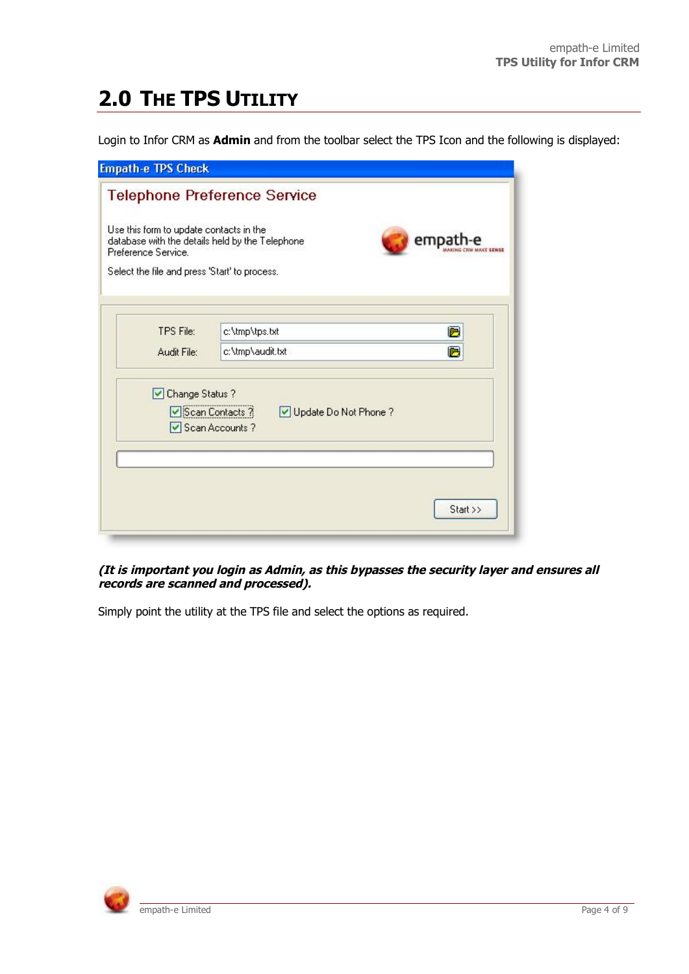# **2.0 THE TPS UTILITY**

Login to Infor CRM as **Admin** and from the toolbar select the TPS Icon and the following is displayed:

| <b>Empath-e TPS Check</b> |                                                                                                                                                                                                                                                                |
|---------------------------|----------------------------------------------------------------------------------------------------------------------------------------------------------------------------------------------------------------------------------------------------------------|
|                           |                                                                                                                                                                                                                                                                |
|                           | empat                                                                                                                                                                                                                                                          |
|                           |                                                                                                                                                                                                                                                                |
|                           | с                                                                                                                                                                                                                                                              |
| c:\tmp\audit.txt          | c                                                                                                                                                                                                                                                              |
| Update Do Not Phone?      |                                                                                                                                                                                                                                                                |
|                           | Start >>                                                                                                                                                                                                                                                       |
|                           | <b>Telephone Preference Service</b><br>Use this form to update contacts in the<br>database with the details held by the Telephone<br>Select the file and press 'Start' to process.<br>c:\tmp\tps.txt<br>□ Change Status ?<br>Scan Contacts ?<br>Scan Accounts? |

#### **(It is important you login as Admin, as this bypasses the security layer and ensures all records are scanned and processed).**

Simply point the utility at the TPS file and select the options as required.

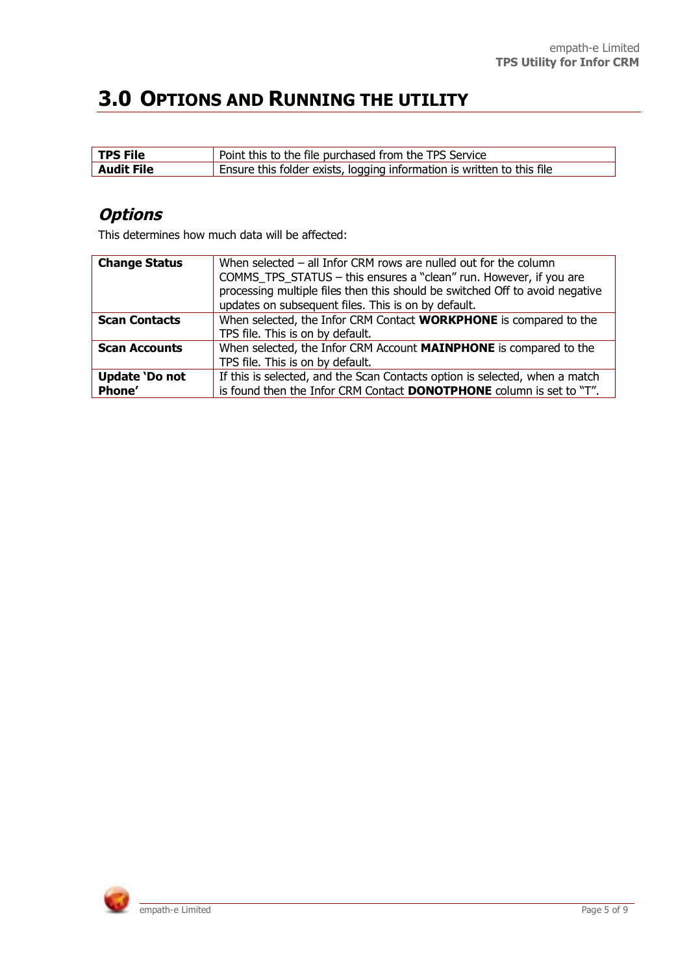## **3.0 OPTIONS AND RUNNING THE UTILITY**

| <b>TPS File</b>   | Point this to the file purchased from the TPS Service                  |
|-------------------|------------------------------------------------------------------------|
| <b>Audit File</b> | Ensure this folder exists, logging information is written to this file |

### **Options**

This determines how much data will be affected:

| <b>Change Status</b>  | When selected $-$ all Infor CRM rows are nulled out for the column           |
|-----------------------|------------------------------------------------------------------------------|
|                       | COMMS_TPS_STATUS - this ensures a "clean" run. However, if you are           |
|                       | processing multiple files then this should be switched Off to avoid negative |
|                       | updates on subsequent files. This is on by default.                          |
| <b>Scan Contacts</b>  | When selected, the Infor CRM Contact WORKPHONE is compared to the            |
|                       | TPS file. This is on by default.                                             |
| <b>Scan Accounts</b>  | When selected, the Infor CRM Account MAINPHONE is compared to the            |
|                       | TPS file. This is on by default.                                             |
| <b>Update 'Do not</b> | If this is selected, and the Scan Contacts option is selected, when a match  |
| Phone'                | is found then the Infor CRM Contact <b>DONOTPHONE</b> column is set to "T".  |

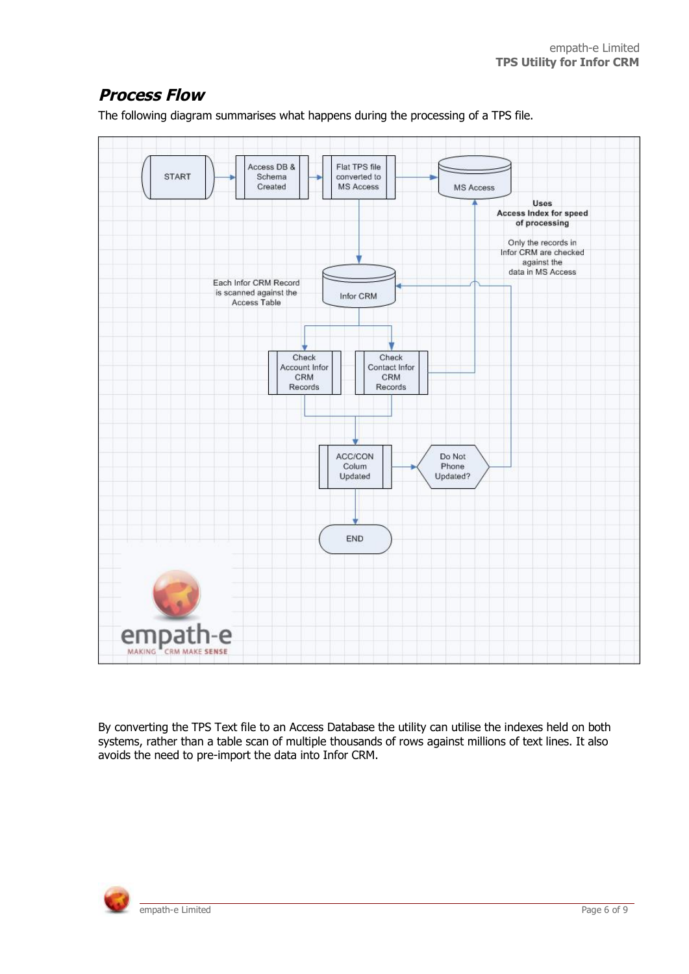### **Process Flow**

The following diagram summarises what happens during the processing of a TPS file.



By converting the TPS Text file to an Access Database the utility can utilise the indexes held on both systems, rather than a table scan of multiple thousands of rows against millions of text lines. It also avoids the need to pre-import the data into Infor CRM.

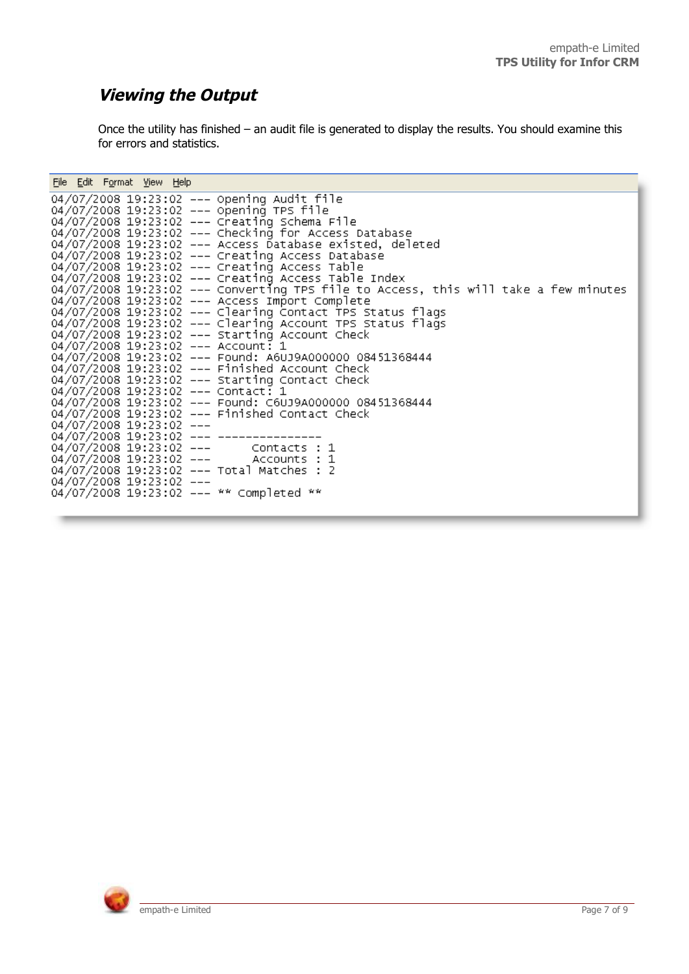### **Viewing the Output**

Once the utility has finished – an audit file is generated to display the results. You should examine this for errors and statistics.

| File Edit Format View Help                                                          |
|-------------------------------------------------------------------------------------|
| 04/07/2008 19:23:02 --- Opening Audit file                                          |
| 04/07/2008 19:23:02 --- opening TPS file                                            |
| 04/07/2008 19:23:02 --- Creating Schema File                                        |
| 04/07/2008 19:23:02 --- Checking for Access Database                                |
| 04/07/2008 19:23:02 --- Access Database existed, deleted                            |
| 04/07/2008 19:23:02 --- Creating Access Database                                    |
| 04/07/2008 19:23:02 --- Creating Access Table                                       |
| 04/07/2008 19:23:02 --- Creating Access Table Index                                 |
| 04/07/2008 19:23:02 --- Converting TPS file to Access, this will take a few minutes |
| 04/07/2008 19:23:02 --- Access Import Complete                                      |
| 04/07/2008 19:23:02 --- Clearing Contact TPS Status flags                           |
| 04/07/2008 19:23:02 --- Clearing Account TPS Status flags                           |
| 04/07/2008 19:23:02 --- Starting Account Check                                      |
| 04/07/2008 19:23:02 --- Account: 1                                                  |
| 04/07/2008 19:23:02 --- Found: A6UJ9A000000 08451368444                             |
| 04/07/2008 19:23:02 --- Finished Account Check                                      |
| 04/07/2008 19:23:02 --- Starting Contact Check                                      |
| 04/07/2008 19:23:02 --- Contact: 1                                                  |
| 04/07/2008 19:23:02 --- Found: C6UJ9A000000 08451368444                             |
| 04/07/2008 19:23:02 --- Finished Contact Check                                      |
| 04/07/2008 19:23:02 ---                                                             |
| 04/07/2008 19:23:02 --- --------------                                              |
|                                                                                     |
| 04/07/2008 19:23:02 --- Accounts : 1                                                |
| 04/07/2008 19:23:02 --- Total Matches : 2                                           |
| 04/07/2008 19:23:02 ---                                                             |
| 04/07/2008 19:23:02 --- ** Completed **                                             |
|                                                                                     |

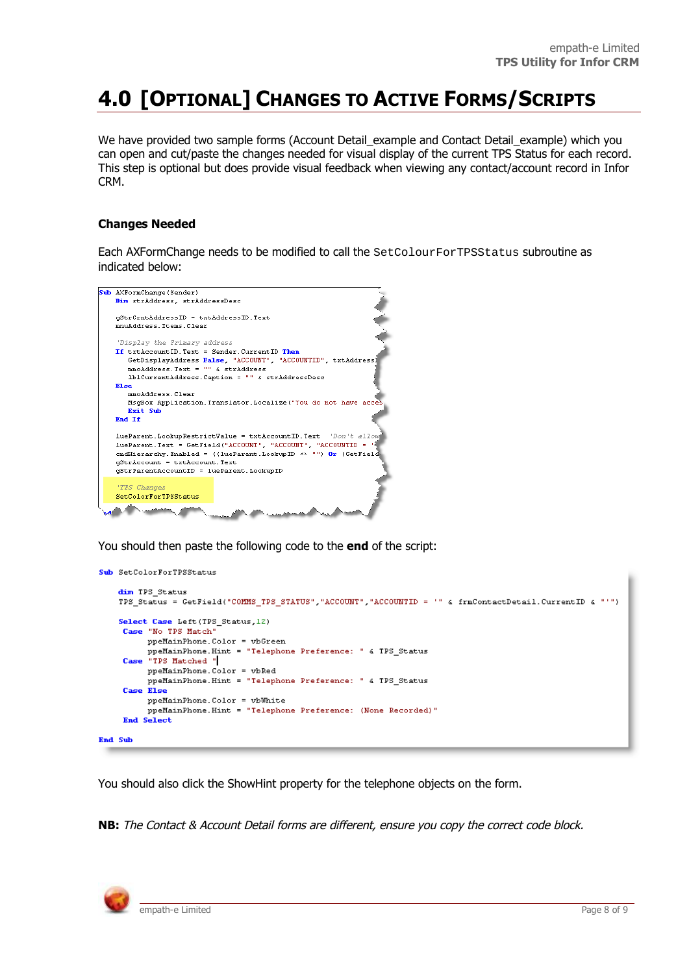## **4.0 [OPTIONAL] CHANGES TO ACTIVE FORMS/SCRIPTS**

We have provided two sample forms (Account Detail example and Contact Detail example) which you can open and cut/paste the changes needed for visual display of the current TPS Status for each record. This step is optional but does provide visual feedback when viewing any contact/account record in Infor CRM.

#### **Changes Needed**

Each AXFormChange needs to be modified to call the SetColourForTPSStatus subroutine as indicated below:



You should then paste the following code to the **end** of the script:

```
Sub SetColorForTPSStatus
```

```
dim TPS Status
    TPS Status = GetField("COMMS TPS STATUS","ACCOUNT","ACCOUNTID = '" & frmContactDetail.CurrentID & "'")
    Select Case Left (TPS Status 12)
     Case "No TPS Match"
           ppeMainPhone.Color = vbGreen
     ppeMainPhone.Color = vbGreen<br>ppeMainPhone.Hint = "Telephone Preference: " & TPS_Status<br>Case "TPS Matched "|
           ppeMainPhone.Color = vbRed
           ppeMainPhone.Hint = "Telephone Preference: " & TPS_Status
     Case Else
           \verb|ppelMainPhone|. Color = vblWhiteppeMainPhone.Hint = "Telephone Preference: (None Recorded)"
     End Select
End Sub
```
You should also click the ShowHint property for the telephone objects on the form.

**NB:** The Contact & Account Detail forms are different, ensure you copy the correct code block.